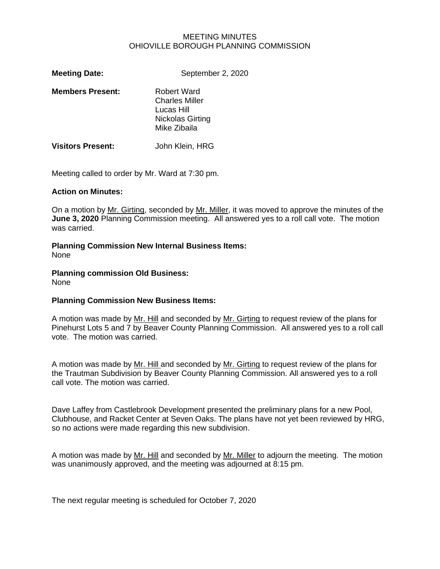#### MEETING MINUTES OHIOVILLE BOROUGH PLANNING COMMISSION

| <b>Meeting Date:</b>     | September 2, 2020                                                                             |
|--------------------------|-----------------------------------------------------------------------------------------------|
| <b>Members Present:</b>  | <b>Robert Ward</b><br><b>Charles Miller</b><br>Lucas Hill<br>Nickolas Girting<br>Mike Zibaila |
| <b>Visitors Present:</b> | John Klein, HRG                                                                               |

Meeting called to order by Mr. Ward at 7:30 pm.

#### **Action on Minutes:**

On a motion by Mr. Girting, seconded by Mr. Miller, it was moved to approve the minutes of the **June 3, 2020** Planning Commission meeting. All answered yes to a roll call vote. The motion was carried.

# **Planning Commission New Internal Business Items:**

None

# **Planning commission Old Business:**

None

### **Planning Commission New Business Items:**

A motion was made by Mr. Hill and seconded by Mr. Girting to request review of the plans for Pinehurst Lots 5 and 7 by Beaver County Planning Commission. All answered yes to a roll call vote. The motion was carried.

A motion was made by Mr. Hill and seconded by Mr. Girting to request review of the plans for the Trautman Subdivision by Beaver County Planning Commission. All answered yes to a roll call vote. The motion was carried.

Dave Laffey from Castlebrook Development presented the preliminary plans for a new Pool, Clubhouse, and Racket Center at Seven Oaks. The plans have not yet been reviewed by HRG, so no actions were made regarding this new subdivision.

A motion was made by Mr. Hill and seconded by Mr. Miller to adjourn the meeting. The motion was unanimously approved, and the meeting was adjourned at 8:15 pm.

The next regular meeting is scheduled for October 7, 2020